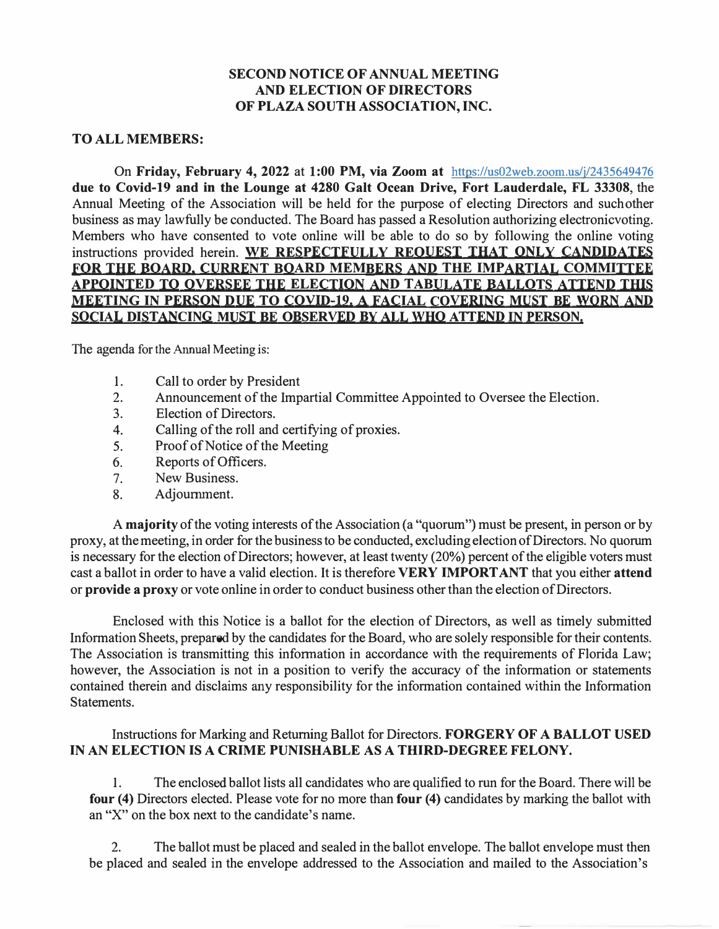#### **SECOND NOTICE OF ANNUAL MEETING AND ELECTION OF DIRECTORS OF PLAZA SOUTH ASSOCIATION, INC.**

#### **TO ALL MEMBERS:**

On **Friday, February 4, 2022** at **1:00 PM, via Zoom at** https://us02web.zoom.us/j/2435649476 **due to Covid-19 and** in **the Lounge at 4280 Galt Ocean Drive, Fort Lauderdale, FL 33308,** the Annual Meeting of the Association will be held for the purpose of electing Directors and such other business as may lawfully be conducted. The Board has passed a Resolution authorizing electronicvoting. Members who have consented to vote online will be able to do so by following the online voting instructions provided herein. **WE RESPECTFULLY REQUEST THAT ONLY CANDIDATES FOR THE BOARD, CURRENT BOARD MEMBERS AND THE IMPARTIAL COMMITTEE APPOINTED TO OVERSEE THE ELECTION AND TABULATE BALLOTS ATTEND THIS MEETING IN PERSON DUE TO COVID-19. A FACIAL COVERING MUST BE WORN AND SOCIAL DISTANCING MUST BE OBSERVED BY ALL WHO ATTEND IN PERSON.** 

The agenda for the Annual Meeting is:

- 1. Call to order by President
- 2. Announcement of the Impartial Committee Appointed to Oversee the Election.
- 3. Election of Directors.
- 4. Calling of the roll and certifying of proxies.
- 5. Proof of Notice of the Meeting
- 6. Reports of Officers.
- 7. New Business.<br>8. Adioumment.
- Adjournment.

A **majority** of the voting interests of the Association (a "quorum") must be present, in person or by proxy, at the meeting, in order for the business to be conducted, excluding election of Directors. No quorum is necessary for the election of Directors; however, at least twenty (20%) percent of the eligible voters must cast a ballot in order to have a valid election. It is therefore **VERY IMPORT ANT** that you either **attend**  or **provide a proxy** or vote online in order to conduct business other than the election of Directors.

Enclosed with this Notice is a ballot for the election of Directors, as well as timely submitted Information Sheets, prepared by the candidates for the Board, who are solely responsible for their contents. The Association is transmitting this information in accordance with the requirements of Florida Law; however, the Association is not in a position to verify the accuracy of the information or statements contained therein and disclaims any responsibility for the information contained within the Information Statements.

#### Instructions for Marking and Returning Ballot for Directors. **FORGERY OF A BALLOT USED IN AN ELECTION IS A CRIME PUNISHABLE AS A THIRD-DEGREE FELONY.**

1. The enclosed ballot lists all candidates who are qualified to run for the Board. There will be **four (4)** Directors elected. Please vote for no more than **four (4)** candidates by marking the ballot with an "X" on the box next to the candidate's name.

2. The ballot must be placed and sealed in the ballot envelope. The ballot envelope must then be placed and sealed in the envelope addressed to the Association and mailed to the Association's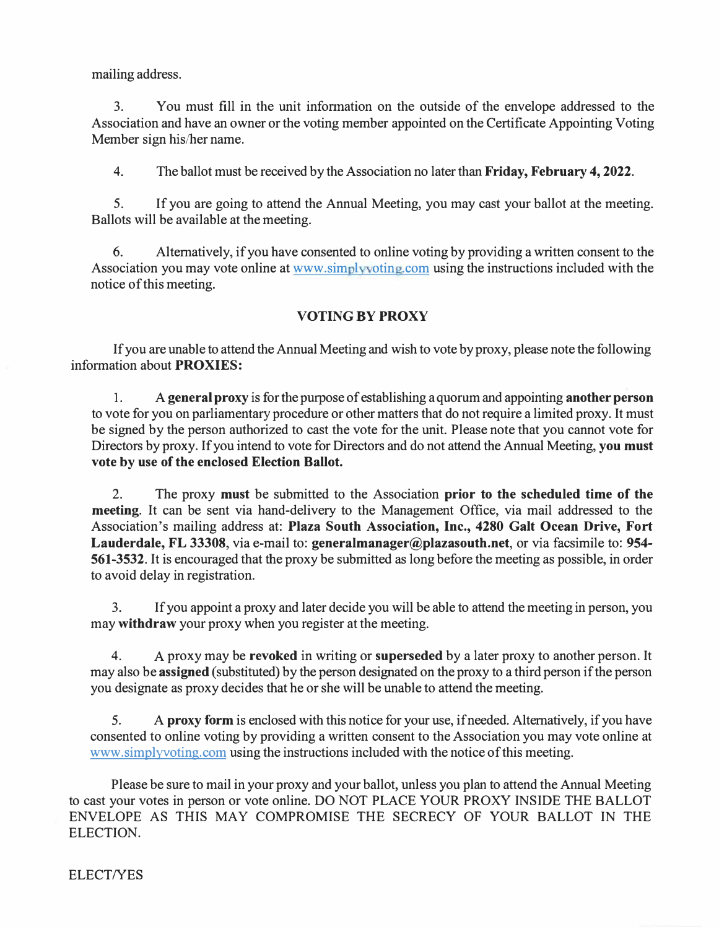mailing address.

3. You must fill in the unit information on the outside of the envelope addressed to the Association and have an owner or the voting member appointed on the Certificate Appointing Voting Member sign his/her name.

4. The ballot must be received by the Association no later than **Friday, February 4, 2022.**

5. If you are going to attend the Annual Meeting, you may cast your ballot at the meeting. Ballots will be available at the meeting.

6. Alternatively, if you have consented to online voting by providing a written consent to the Association you may vote online at www.simplyvoting.com using the instructions included with the notice of this meeting.

### **VOTING BY PROXY**

If you are unable to attend the Annual Meeting and wish to vote by proxy, please note the following information about **PROXIES:** 

1. A **general proxy** is for the purpose of establishing a quorum and appointing **another person** to vote for you on parliamentary procedure or other matters that do not require a limited proxy. It must be signed by the person authorized to cast the vote for the unit. Please note that you cannot vote for Directors by proxy. If you intend to vote for Directors and do not attend the Annual Meeting, **you must vote by use of the enclosed Election Ballot.** 

2. The proxy **must** be submitted to the Association **prior to the scheduled time of the meeting.** It can be sent via hand-delivery to the Management Office, via mail addressed to the Association's mailing address at: **Plaza South Association, Inc., 4280 Galt Ocean Drive, Fort Lauderdale, FL 33308,** via e-mail to: **generalmanager@plazasouth.net,** or via facsimile to: **954- 561-3532.** It is encouraged that the proxy be submitted as long before the meeting as possible, in order to avoid delay in registration.

3. If you appoint a proxy and later decide you will be able to attend the meeting in person, you may **withdraw** your proxy when you register at the meeting.

4. A proxy may be **revoked** in writing or **superseded** by a later proxy to another person. It may also be **assigned** (substituted) by the person designated on the proxy to a third person if the person you designate as proxy decides that he or she will be unable to attend the meeting.

5. A **proxy form** is enclosed with this notice for your use, if needed. Alternatively, if you have consented to online voting by providing a written consent to the Association you may vote online at www.simplyvoting.com using the instructions included with the notice of this meeting.

Please be sure to mail in your proxy and your ballot, unless you plan to attend the Annual Meeting to cast your votes in person or vote online. DO NOT PLACE YOUR PROXY INSIDE THE BALLOT ENVELOPE AS THIS MAY COMPROMISE THE SECRECY OF YOUR BALLOT IN THE ELECTION.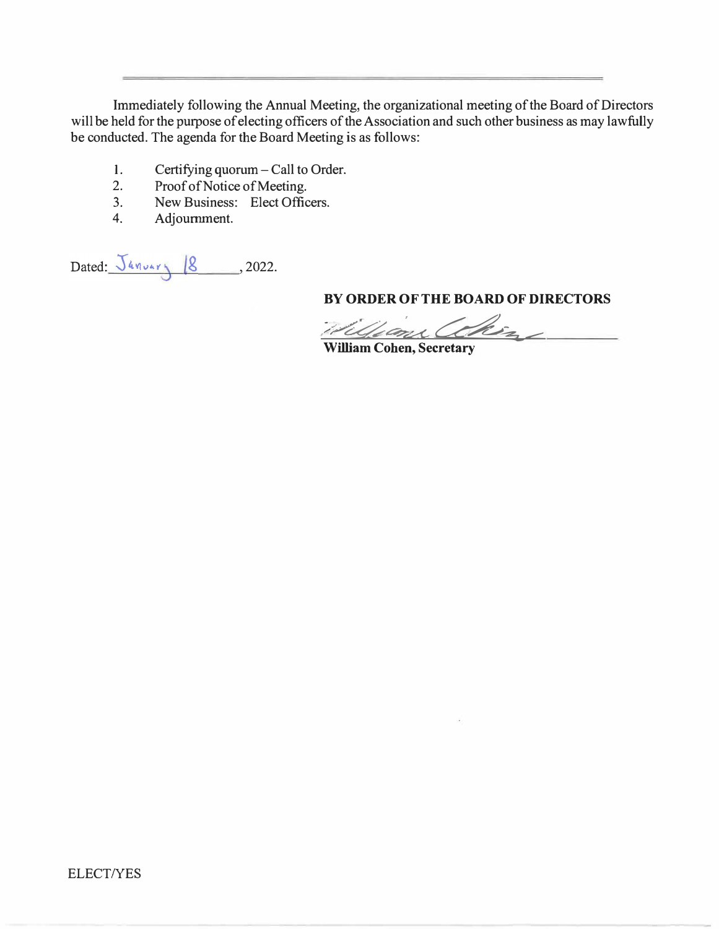Immediately following the Annual Meeting, the organizational meeting of the Board of Directors will be held for the purpose of electing officers of the Association and such other business as may lawfully be conducted. The agenda for the Board Meeting is as follows:

- 1. Certifying quorum Call to Order.<br>2. Proof of Notice of Meeting.
- 2. Proof of Notice of Meeting.<br>3. New Business: Elect Office
- 3. New Business: Elect Officers.<br>4. Adioumment.
- 4. Adjournment.

Dated:  $\frac{\sqrt{4m_{\text{var}}}}{8}$ , 2022.

**BY ORDER OF THE BOARD OF DIRECTORS** 

william Chin

**William Cohen, Secretary**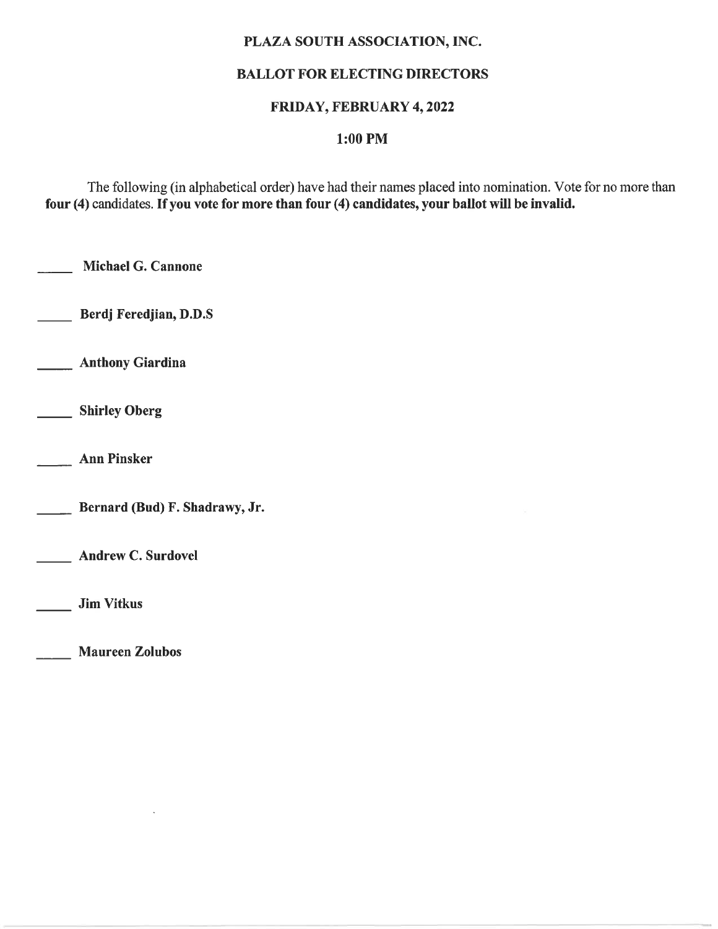### PLAZA SOUTH ASSOCIATION, INC.

## **BALLOT FOR ELECTING DIRECTORS**

### FRIDAY, FEBRUARY 4, 2022

# $1:00$  PM

The following (in alphabetical order) have had their names placed into nomination. Vote for no more than four (4) candidates. If you vote for more than four (4) candidates, your ballot will be invalid.

Michael G. Cannone

Berdj Feredjian, D.D.S

**Anthony Giardina** 

Shirley Oberg

**Ann Pinsker** 

Bernard (Bud) F. Shadrawy, Jr.

**Andrew C. Surdovel** 

**Jim Vitkus** 

**Maureen Zolubos**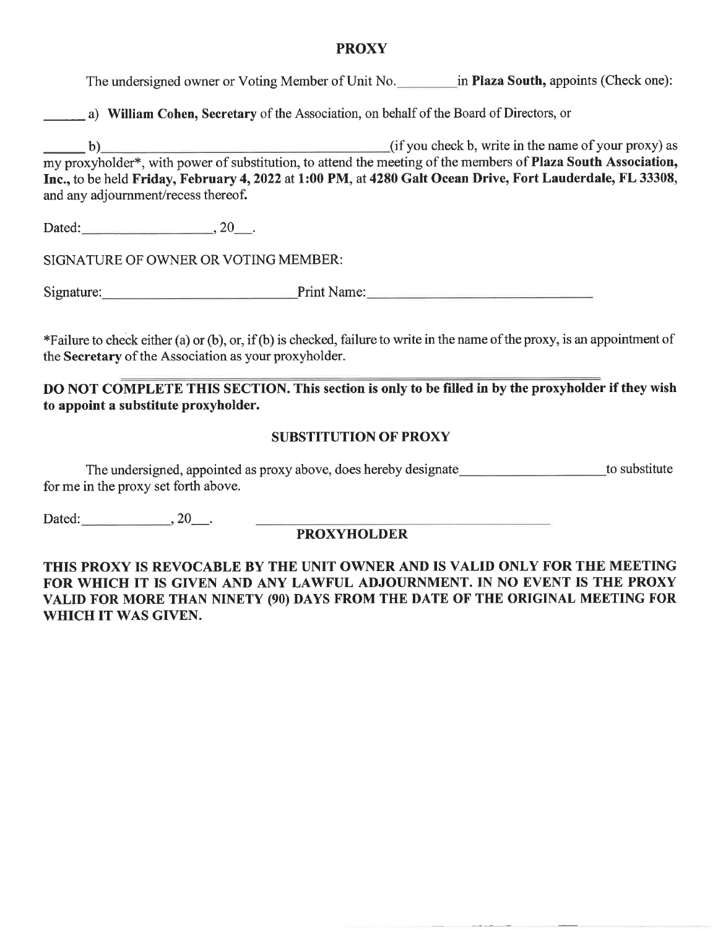#### **PROXY**

The undersigned owner or Voting Member of Unit No. in Plaza South, appoints (Check one):

a) William Cohen, Secretary of the Association, on behalf of the Board of Directors, or

(if you check b, write in the name of your proxy) as  $\mathbf{b}$ my proxyholder\*, with power of substitution, to attend the meeting of the members of **Plaza South Association**, Inc., to be held Friday, February 4, 2022 at 1:00 PM, at 4280 Galt Ocean Drive, Fort Lauderdale, FL 33308, and any adjournment/recess thereof.

Dated: 20.

SIGNATURE OF OWNER OR VOTING MEMBER:

Signature: Print Name:

\*Failure to check either (a) or (b), or, if (b) is checked, failure to write in the name of the proxy, is an appointment of the Secretary of the Association as your proxyholder.

DO NOT COMPLETE THIS SECTION. This section is only to be filled in by the proxyholder if they wish to appoint a substitute proxyholder.

#### **SUBSTITUTION OF PROXY**

The undersigned, appointed as proxy above, does hereby designate<br>
to substitute for me in the proxy set forth above.

Dated:  $\qquad \qquad , 20 \qquad .$ 

### **PROXYHOLDER**

THIS PROXY IS REVOCABLE BY THE UNIT OWNER AND IS VALID ONLY FOR THE MEETING FOR WHICH IT IS GIVEN AND ANY LAWFUL ADJOURNMENT. IN NO EVENT IS THE PROXY VALID FOR MORE THAN NINETY (90) DAYS FROM THE DATE OF THE ORIGINAL MEETING FOR WHICH IT WAS GIVEN.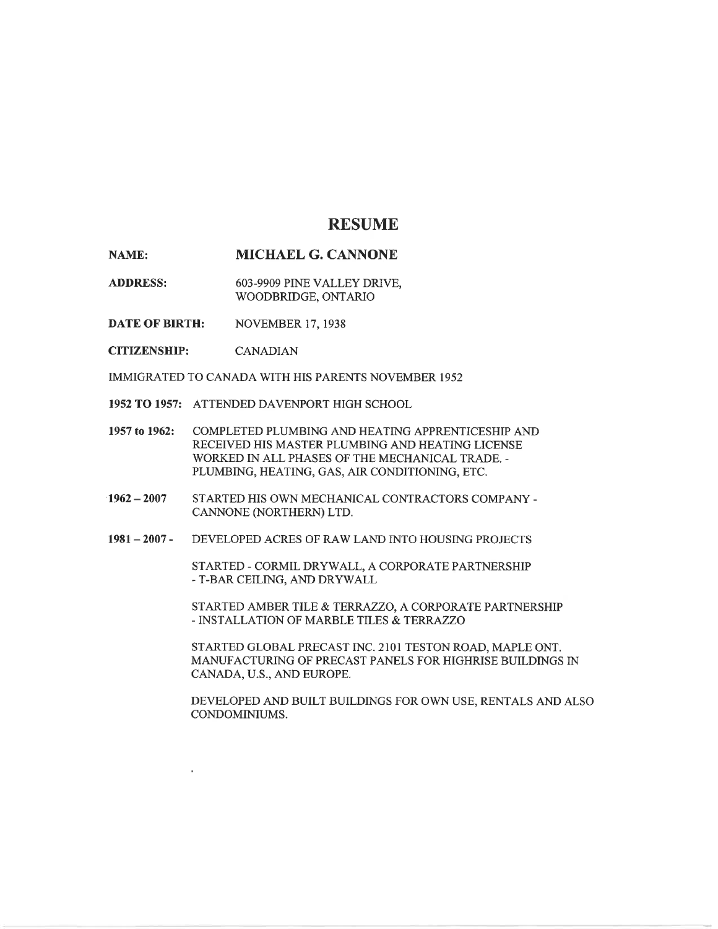#### **RESUME**

MICHAEL G. CANNONE NAME:

**ADDRESS:** 603-9909 PINE VALLEY DRIVE, WOODBRIDGE, ONTARIO

**DATE OF BIRTH: NOVEMBER 17, 1938** 

**CITIZENSHIP: CANADIAN** 

IMMIGRATED TO CANADA WITH HIS PARENTS NOVEMBER 1952

1952 TO 1957: ATTENDED DAVENPORT HIGH SCHOOL

- 1957 to 1962: COMPLETED PLUMBING AND HEATING APPRENTICESHIP AND RECEIVED HIS MASTER PLUMBING AND HEATING LICENSE WORKED IN ALL PHASES OF THE MECHANICAL TRADE. -PLUMBING, HEATING, GAS, AIR CONDITIONING, ETC.
- STARTED HIS OWN MECHANICAL CONTRACTORS COMPANY - $1962 - 2007$ CANNONE (NORTHERN) LTD.
- $1981 2007 -$ DEVELOPED ACRES OF RAW LAND INTO HOUSING PROJECTS

STARTED - CORMIL DRYWALL, A CORPORATE PARTNERSHIP - T-BAR CEILING, AND DRYWALL

STARTED AMBER TILE & TERRAZZO, A CORPORATE PARTNERSHIP - INSTALLATION OF MARBLE TILES & TERRAZZO

STARTED GLOBAL PRECAST INC. 2101 TESTON ROAD, MAPLE ONT. MANUFACTURING OF PRECAST PANELS FOR HIGHRISE BUILDINGS IN CANADA, U.S., AND EUROPE.

DEVELOPED AND BUILT BUILDINGS FOR OWN USE, RENTALS AND ALSO CONDOMINIUMS.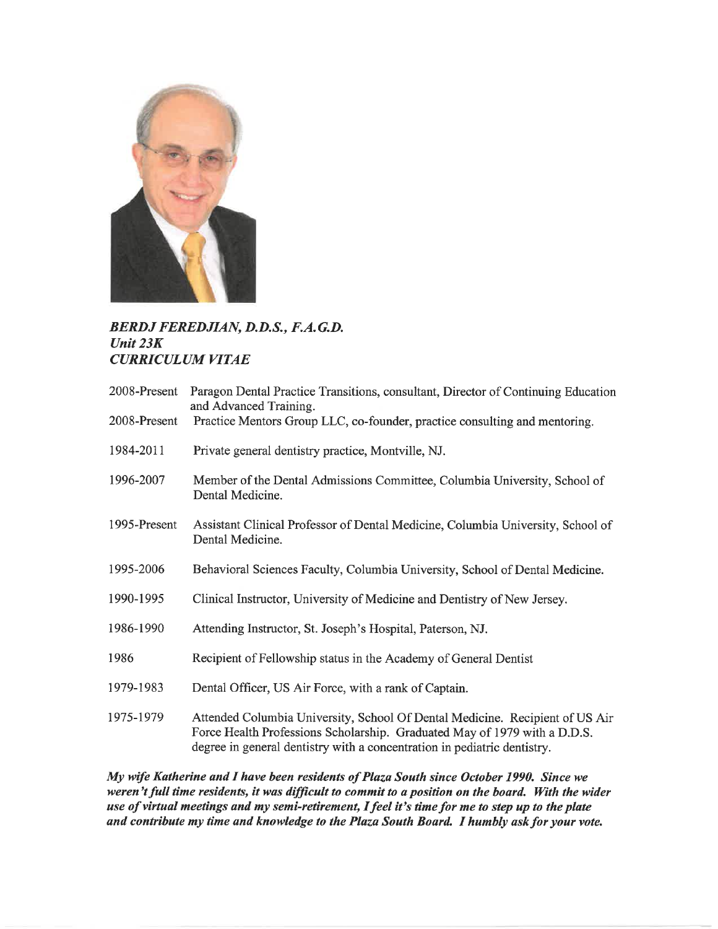

#### **BERDJ FEREDJIAN, D.D.S., F.A.G.D.** Unit  $23K$ **CURRICULUM VITAE**

| 2008-Present | Paragon Dental Practice Transitions, consultant, Director of Continuing Education<br>and Advanced Training.                                                                                                                           |
|--------------|---------------------------------------------------------------------------------------------------------------------------------------------------------------------------------------------------------------------------------------|
| 2008-Present | Practice Mentors Group LLC, co-founder, practice consulting and mentoring.                                                                                                                                                            |
| 1984-2011    | Private general dentistry practice, Montville, NJ.                                                                                                                                                                                    |
| 1996-2007    | Member of the Dental Admissions Committee, Columbia University, School of<br>Dental Medicine.                                                                                                                                         |
| 1995-Present | Assistant Clinical Professor of Dental Medicine, Columbia University, School of<br>Dental Medicine.                                                                                                                                   |
| 1995-2006    | Behavioral Sciences Faculty, Columbia University, School of Dental Medicine.                                                                                                                                                          |
| 1990-1995    | Clinical Instructor, University of Medicine and Dentistry of New Jersey.                                                                                                                                                              |
| 1986-1990    | Attending Instructor, St. Joseph's Hospital, Paterson, NJ.                                                                                                                                                                            |
| 1986         | Recipient of Fellowship status in the Academy of General Dentist                                                                                                                                                                      |
| 1979-1983    | Dental Officer, US Air Force, with a rank of Captain.                                                                                                                                                                                 |
| 1975-1979    | Attended Columbia University, School Of Dental Medicine. Recipient of US Air<br>Force Health Professions Scholarship. Graduated May of 1979 with a D.D.S.<br>degree in general dentistry with a concentration in pediatric dentistry. |

My wife Katherine and I have been residents of Plaza South since October 1990. Since we weren't full time residents, it was difficult to commit to a position on the board. With the wider use of virtual meetings and my semi-retirement, I feel it's time for me to step up to the plate and contribute my time and knowledge to the Plaza South Board. I humbly ask for your vote.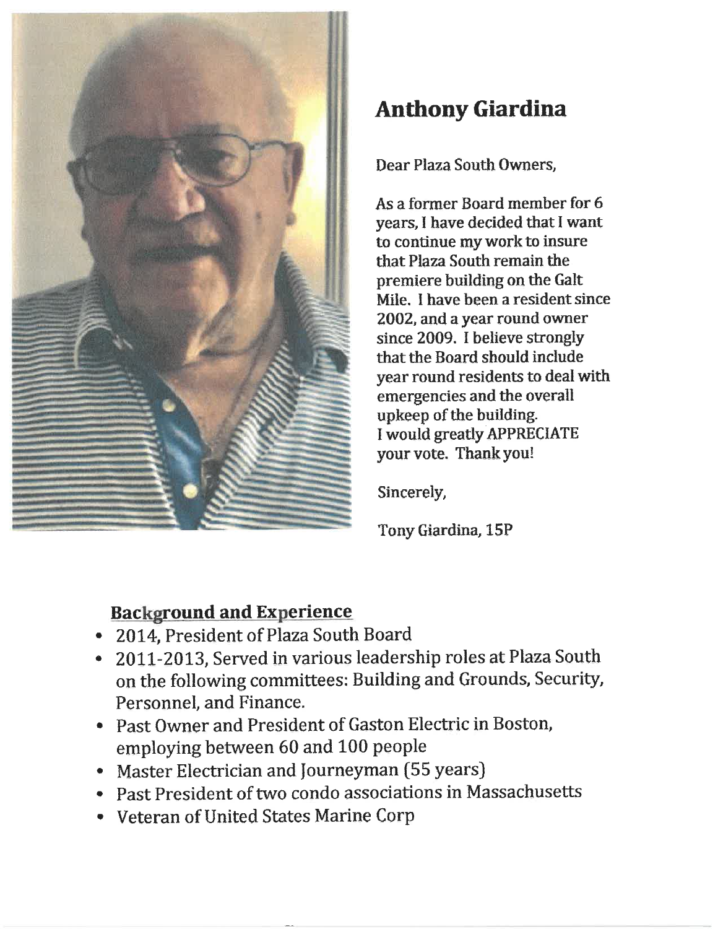

# **Anthony Giardina**

Dear Plaza South Owners.

As a former Board member for 6 years, I have decided that I want to continue my work to insure that Plaza South remain the premiere building on the Galt Mile. I have been a resident since 2002, and a year round owner since 2009. I believe strongly that the Board should include year round residents to deal with emergencies and the overall upkeep of the building. I would greatly APPRECIATE your vote. Thank you!

Sincerely,

Tony Giardina, 15P

# **Background and Experience**

- 2014, President of Plaza South Board
- 2011-2013, Served in various leadership roles at Plaza South on the following committees: Building and Grounds, Security, Personnel, and Finance.
- Past Owner and President of Gaston Electric in Boston, employing between 60 and 100 people
- Master Electrician and Journeyman (55 years)
- Past President of two condo associations in Massachusetts
- Veteran of United States Marine Corp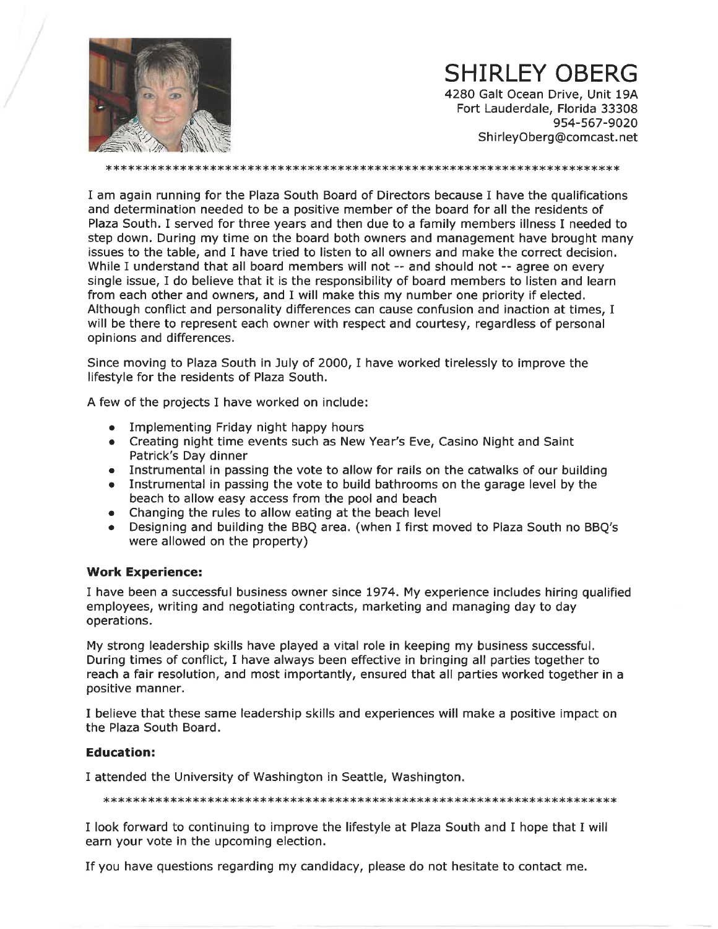

# **SHIRLEY OBERG**

4280 Galt Ocean Drive, Unit 19A Fort Lauderdale, Florida 33308 954-567-9020 ShirleyOberg@comcast.net

I am again running for the Plaza South Board of Directors because I have the qualifications and determination needed to be a positive member of the board for all the residents of Plaza South. I served for three years and then due to a family members illness I needed to step down. During my time on the board both owners and management have brought many issues to the table, and I have tried to listen to all owners and make the correct decision. While I understand that all board members will not -- and should not -- agree on every single issue, I do believe that it is the responsibility of board members to listen and learn from each other and owners, and I will make this my number one priority if elected. Although conflict and personality differences can cause confusion and inaction at times, I will be there to represent each owner with respect and courtesy, regardless of personal opinions and differences.

Since moving to Plaza South in July of 2000, I have worked tirelessly to improve the lifestyle for the residents of Plaza South.

A few of the projects I have worked on include:

- Implementing Friday night happy hours
- Creating night time events such as New Year's Eve, Casino Night and Saint Patrick's Day dinner
- Instrumental in passing the vote to allow for rails on the catwalks of our building
- Instrumental in passing the vote to build bathrooms on the garage level by the beach to allow easy access from the pool and beach
- Changing the rules to allow eating at the beach level
- Designing and building the BBQ area. (when I first moved to Plaza South no BBQ's were allowed on the property)

#### **Work Experience:**

I have been a successful business owner since 1974. My experience includes hiring qualified employees, writing and negotiating contracts, marketing and managing day to day operations.

My strong leadership skills have played a vital role in keeping my business successful. During times of conflict, I have always been effective in bringing all parties together to reach a fair resolution, and most importantly, ensured that all parties worked together in a positive manner.

I believe that these same leadership skills and experiences will make a positive impact on the Plaza South Board.

#### **Education:**

I attended the University of Washington in Seattle, Washington.

I look forward to continuing to improve the lifestyle at Plaza South and I hope that I will earn your vote in the upcoming election.

If you have questions regarding my candidacy, please do not hesitate to contact me.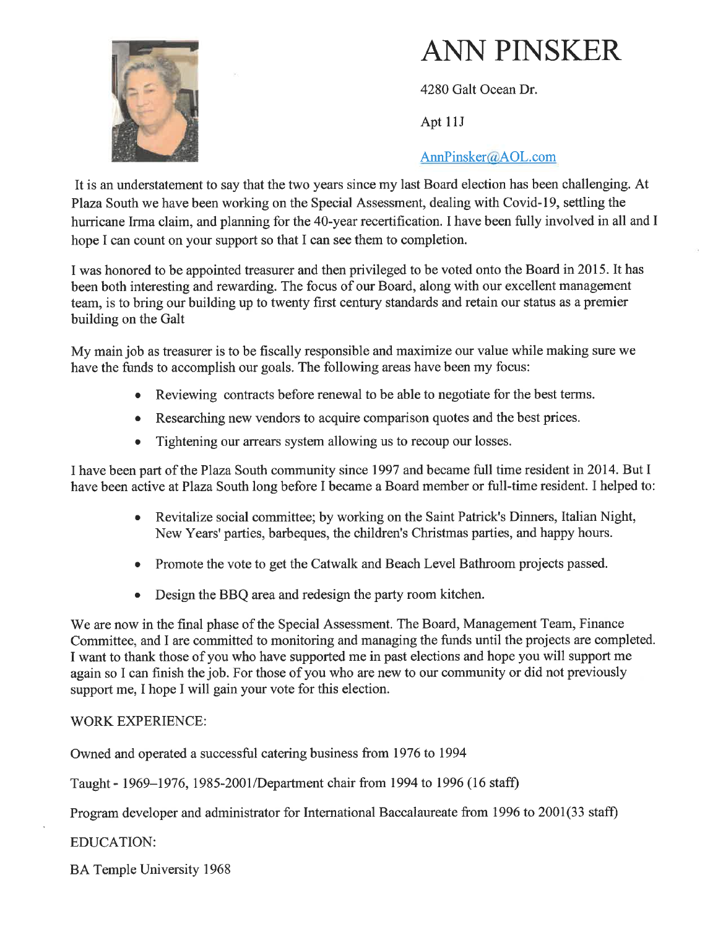

# **ANN PINSKER**

4280 Galt Ocean Dr.

Apt 11J

# AnnPinsker@AOL.com

It is an understatement to say that the two years since my last Board election has been challenging. At Plaza South we have been working on the Special Assessment, dealing with Covid-19, settling the hurricane Irma claim, and planning for the 40-year recertification. I have been fully involved in all and I hope I can count on your support so that I can see them to completion.

I was honored to be appointed treasurer and then privileged to be voted onto the Board in 2015. It has been both interesting and rewarding. The focus of our Board, along with our excellent management team, is to bring our building up to twenty first century standards and retain our status as a premier building on the Galt

My main job as treasurer is to be fiscally responsible and maximize our value while making sure we have the funds to accomplish our goals. The following areas have been my focus:

- Reviewing contracts before renewal to be able to negotiate for the best terms.
- Researching new vendors to acquire comparison quotes and the best prices.
- Tightening our arrears system allowing us to recoup our losses.  $\bullet$  .

I have been part of the Plaza South community since 1997 and became full time resident in 2014. But I have been active at Plaza South long before I became a Board member or full-time resident. I helped to:

- Revitalize social committee; by working on the Saint Patrick's Dinners, Italian Night, New Years' parties, barbeques, the children's Christmas parties, and happy hours.
- Promote the vote to get the Catwalk and Beach Level Bathroom projects passed.
- Design the BBQ area and redesign the party room kitchen.

We are now in the final phase of the Special Assessment. The Board, Management Team, Finance Committee, and I are committed to monitoring and managing the funds until the projects are completed. I want to thank those of you who have supported me in past elections and hope you will support me again so I can finish the job. For those of you who are new to our community or did not previously support me, I hope I will gain your vote for this election.

# **WORK EXPERIENCE:**

Owned and operated a successful catering business from 1976 to 1994

Taught - 1969–1976, 1985-2001/Department chair from 1994 to 1996 (16 staff)

Program developer and administrator for International Baccalaureate from 1996 to 2001(33 staff)

**EDUCATION:** 

**BA Temple University 1968**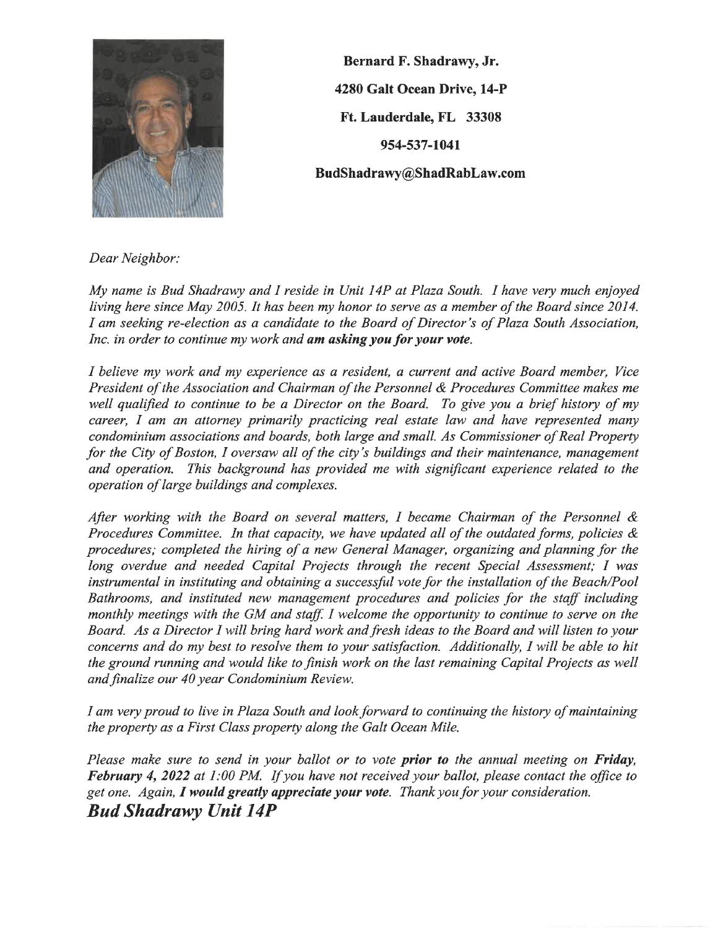

Bernard F. Shadrawy, Jr. 4280 Galt Ocean Drive, 14-P Ft. Lauderdale, FL 33308 954-537-1041 BudShadrawy@ShadRabLaw.com

Dear Neighbor:

My name is Bud Shadrawy and I reside in Unit 14P at Plaza South. I have very much enjoyed living here since May 2005. It has been my honor to serve as a member of the Board since 2014. I am seeking re-election as a candidate to the Board of Director's of Plaza South Association, Inc. in order to continue my work and am asking you for your vote.

I believe my work and my experience as a resident, a current and active Board member, Vice President of the Association and Chairman of the Personnel & Procedures Committee makes me well qualified to continue to be a Director on the Board. To give you a brief history of my career, I am an attorney primarily practicing real estate law and have represented many condominium associations and boards, both large and small. As Commissioner of Real Property for the City of Boston, I oversaw all of the city's buildings and their maintenance, management and operation. This background has provided me with significant experience related to the operation of large buildings and complexes.

After working with the Board on several matters, I became Chairman of the Personnel & Procedures Committee. In that capacity, we have updated all of the outdated forms, policies  $\&$ procedures; completed the hiring of a new General Manager, organizing and planning for the long overdue and needed Capital Projects through the recent Special Assessment; I was instrumental in instituting and obtaining a successful vote for the installation of the Beach/Pool Bathrooms, and instituted new management procedures and policies for the staff including monthly meetings with the GM and staff. I welcome the opportunity to continue to serve on the Board. As a Director I will bring hard work and fresh ideas to the Board and will listen to your concerns and do my best to resolve them to your satisfaction. Additionally, I will be able to hit the ground running and would like to finish work on the last remaining Capital Projects as well and finalize our 40 year Condominium Review.

I am very proud to live in Plaza South and look forward to continuing the history of maintaining the property as a First Class property along the Galt Ocean Mile.

Please make sure to send in your ballot or to vote prior to the annual meeting on Friday, February 4, 2022 at 1:00 PM. If you have not received your ballot, please contact the office to get one. Again, I would greatly appreciate your vote. Thank you for your consideration. **Bud Shadrawy Unit 14P**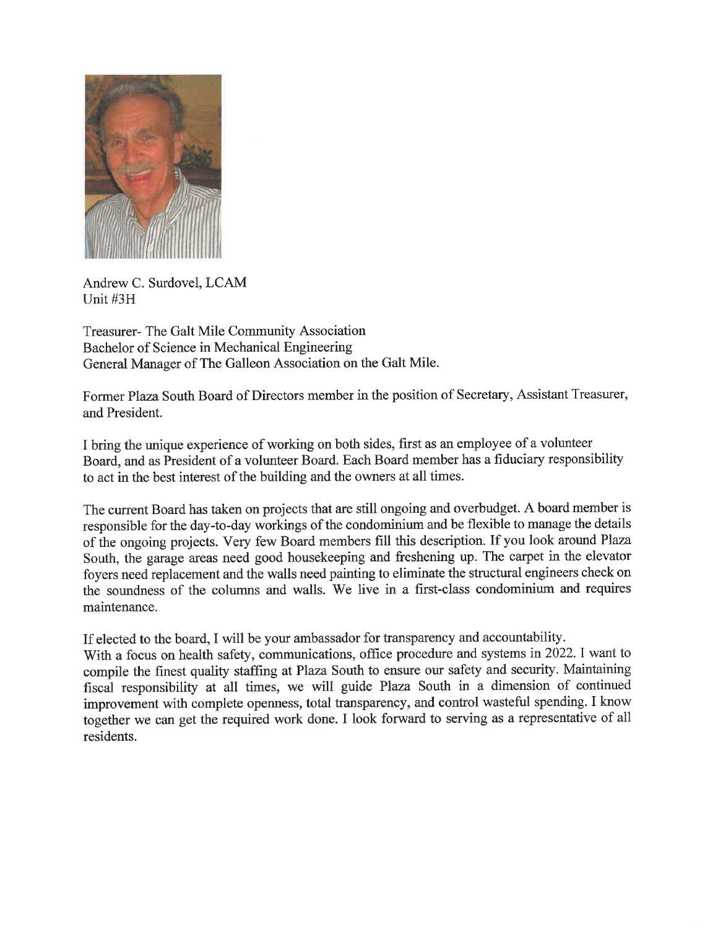

Andrew C. Surdovel, LCAM Unit #3H

**Treasurer-** The Galt Mile Community Association Bachelor of Science in Mechanical Engineering General Manager of The Galleon Association on the Galt Mile.

Former Plaza South Board of Directors member in the position of Secretary, Assistant Treasurer, and President.

I bring the unique experience of working on both sides, first as an employee of a volunteer Board, and as President of a volunteer Board. Each Board member has a fiduciary responsibility to act in the best interest of the building and the owners at all times.

The current Board has taken on projects that are still ongoing and overbudget. A board member is responsible for the day-to-day workings of the condominium and be flexible to manage the details of the ongoing projects. Very few Board members fill this description. If you look around Plaza South, the garage areas need good housekeeping and freshening up. The carpet in the elevator fovers need replacement and the walls need painting to eliminate the structural engineers check on the soundness of the columns and walls. We live in a first-class condominium and requires maintenance.

If elected to the board, I will be your ambassador for transparency and accountability.

With a focus on health safety, communications, office procedure and systems in 2022. I want to compile the finest quality staffing at Plaza South to ensure our safety and security. Maintaining fiscal responsibility at all times, we will guide Plaza South in a dimension of continued improvement with complete openness, total transparency, and control wasteful spending. I know together we can get the required work done. I look forward to serving as a representative of all residents.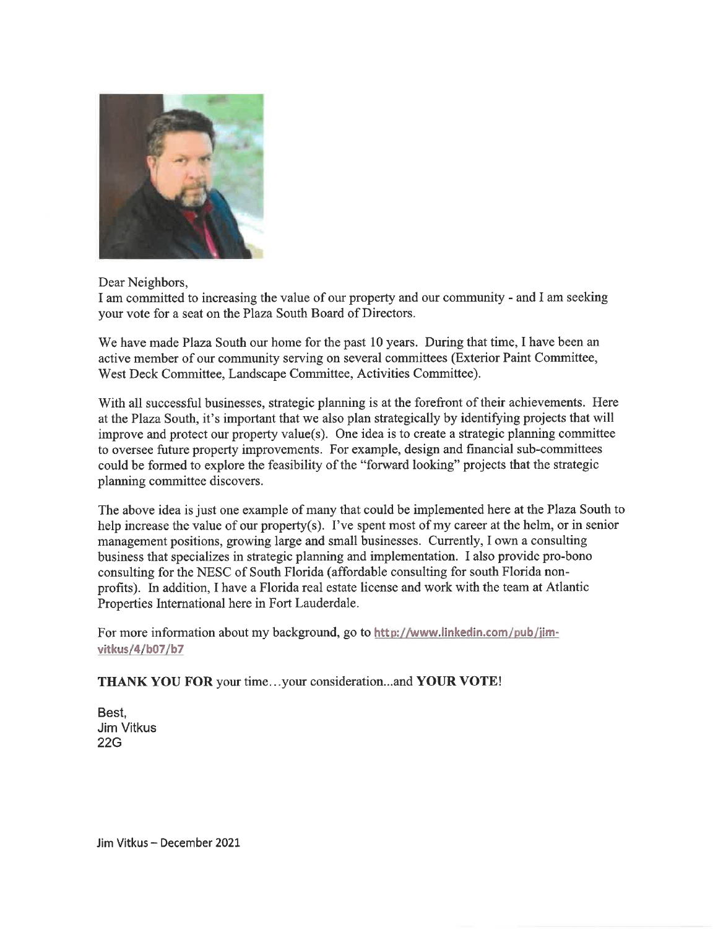

Dear Neighbors,

I am committed to increasing the value of our property and our community - and I am seeking vour vote for a seat on the Plaza South Board of Directors.

We have made Plaza South our home for the past 10 years. During that time, I have been an active member of our community serving on several committees (Exterior Paint Committee, West Deck Committee, Landscape Committee, Activities Committee).

With all successful businesses, strategic planning is at the forefront of their achievements. Here at the Plaza South, it's important that we also plan strategically by identifying projects that will improve and protect our property value(s). One idea is to create a strategic planning committee to oversee future property improvements. For example, design and financial sub-committees could be formed to explore the feasibility of the "forward looking" projects that the strategic planning committee discovers.

The above idea is just one example of many that could be implemented here at the Plaza South to help increase the value of our property(s). I've spent most of my career at the helm, or in senior management positions, growing large and small businesses. Currently, I own a consulting business that specializes in strategic planning and implementation. I also provide pro-bono consulting for the NESC of South Florida (affordable consulting for south Florida nonprofits). In addition, I have a Florida real estate license and work with the team at Atlantic Properties International here in Fort Lauderdale.

For more information about my background, go to http://www.linkedin.com/pub/jimvitkus/4/b07/b7

THANK YOU FOR your time...your consideration...and YOUR VOTE!

Best. **Jim Vitkus 22G** 

Jim Vitkus - December 2021